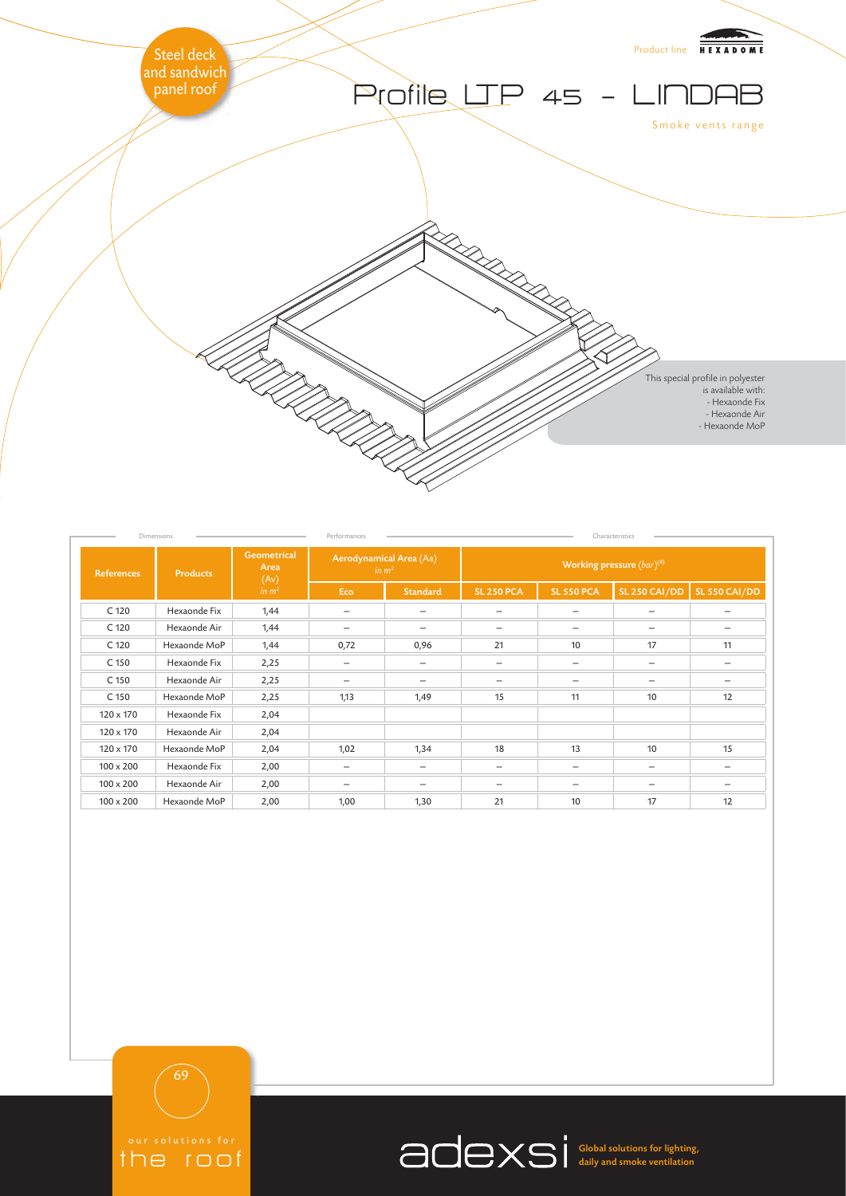

| Dimensions        |                 |                                                         | Performances                                 |                          | Characteristics                |                          |                          |                                 |
|-------------------|-----------------|---------------------------------------------------------|----------------------------------------------|--------------------------|--------------------------------|--------------------------|--------------------------|---------------------------------|
| <b>References</b> | <b>Products</b> | <b>Geometrical</b><br>Area<br>(Av)<br>in m <sup>2</sup> | Aerodynamical Area (Aa)<br>in m <sup>2</sup> |                          | Working pressure $(bar)^{(4)}$ |                          |                          |                                 |
|                   |                 |                                                         | Eco                                          | <b>Standard</b>          | <b>SL 250 PCA</b>              | <b>SL 550 PCA</b>        | SL 250 CAI/DD            | SL 550 CAI/DD                   |
| C 120             | Hexaonde Fix    | 1,44                                                    | $\overline{\phantom{0}}$                     | $\overline{\phantom{0}}$ | $\overline{\phantom{0}}$       |                          | $\overline{\phantom{0}}$ | $\overbrace{\phantom{1232211}}$ |
| C 120             | Hexaonde Air    | 1,44                                                    | $\overline{\phantom{0}}$                     |                          |                                |                          | $\overline{\phantom{0}}$ | $\overbrace{\phantom{1232211}}$ |
| C 120             | Hexaonde MoP    | 1,44                                                    | 0,72                                         | 0,96                     | 21                             | 10                       | 17                       | 11                              |
| C 150             | Hexaonde Fix    | 2,25                                                    |                                              | $\overline{\phantom{m}}$ |                                | $\overline{\phantom{m}}$ | $\overline{\phantom{0}}$ | $\overline{\phantom{0}}$        |
| C 150             | Hexaonde Air    | 2,25                                                    | $\qquad \qquad$                              | $\overline{\phantom{m}}$ | $\overline{\phantom{m}}$       | $\overline{\phantom{m}}$ | —                        | $\qquad \qquad -$               |
| C 150             | Hexaonde MoP    | 2,25                                                    | 1,13                                         | 1,49                     | 15                             | 11                       | 10                       | 12                              |
| 120 x 170         | Hexaonde Fix    | 2,04                                                    |                                              |                          |                                |                          |                          |                                 |
| 120 x 170         | Hexaonde Air    | 2,04                                                    |                                              |                          |                                |                          |                          |                                 |
| 120 x 170         | Hexaonde MoP    | 2,04                                                    | 1,02                                         | 1,34                     | 18                             | 13                       | 10                       | 15                              |
| $100 \times 200$  | Hexaonde Fix    | 2,00                                                    | $\qquad \qquad -$                            | $\overline{\phantom{0}}$ | $\overline{\phantom{m}}$       | $\overline{\phantom{m}}$ | $\overline{\phantom{0}}$ |                                 |
| $100 \times 200$  | Hexaonde Air    | 2,00                                                    |                                              |                          | $\overline{\phantom{m}}$       | $\overline{\phantom{m}}$ | $\overline{\phantom{0}}$ |                                 |
| $100 \times 200$  | Hexaonde MoP    | 2,00                                                    | 1,00                                         | 1,30                     | 21                             | 10                       | 17                       | 12                              |

69

the roof

Global solutions for lighting, daily and smoke ventilation